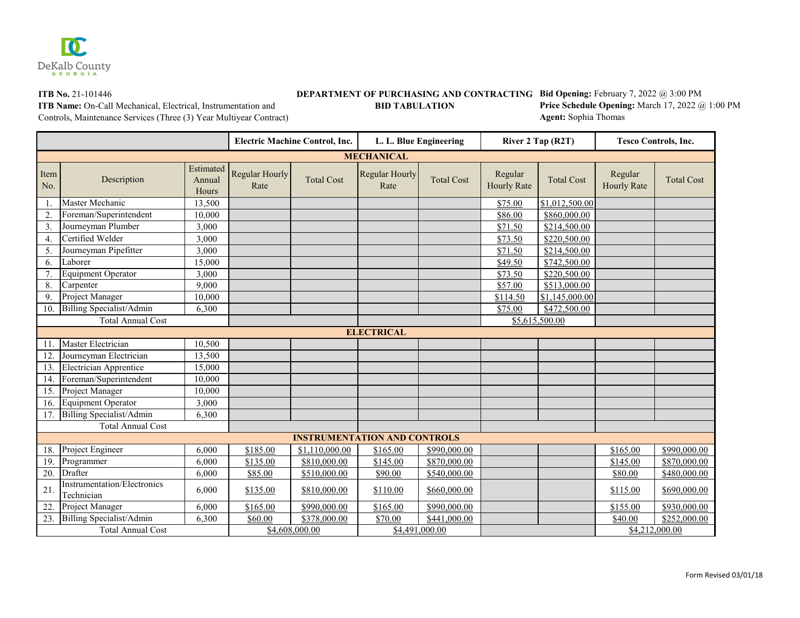

## **BIG OPER STATE OF PURCHASING AND CONTRACTING Bid Opening:** February 7, 2022 @ 3:00 PM

**ITB Name:** On-Call Mechanical, Electrical, Instrumentation and **BID TABULATION**

**Price Schedule Opening:** March 17, 2022 @ 1:00 PM **Agent:** Sophia Thomas

Controls, Maintenance Services (Three (3) Year Multiyear Contract)

|                                     |                                                  |                              | <b>Electric Machine Control, Inc.</b> |                   | L. L. Blue Engineering        |                   | River 2 Tap (R2T)             |                   | <b>Tesco Controls, Inc.</b>   |                   |
|-------------------------------------|--------------------------------------------------|------------------------------|---------------------------------------|-------------------|-------------------------------|-------------------|-------------------------------|-------------------|-------------------------------|-------------------|
|                                     |                                                  |                              |                                       |                   | <b>MECHANICAL</b>             |                   |                               |                   |                               |                   |
| Item<br>No.                         | Description                                      | Estimated<br>Annual<br>Hours | <b>Regular Hourly</b><br>Rate         | <b>Total Cost</b> | <b>Regular Hourly</b><br>Rate | <b>Total Cost</b> | Regular<br><b>Hourly Rate</b> | <b>Total Cost</b> | Regular<br><b>Hourly Rate</b> | <b>Total Cost</b> |
|                                     | Master Mechanic                                  | 13,500                       |                                       |                   |                               |                   | \$75.00                       | \$1,012,500.00    |                               |                   |
| 2.                                  | Foreman/Superintendent                           | 10,000                       |                                       |                   |                               |                   | \$86.00                       | \$860,000.00      |                               |                   |
| 3.                                  | Journeyman Plumber                               | 3,000                        |                                       |                   |                               |                   | \$71.50                       | \$214,500.00      |                               |                   |
| 4.                                  | Certified Welder                                 | 3,000                        |                                       |                   |                               |                   | \$73.50                       | \$220,500.00      |                               |                   |
| 5.                                  | Journeyman Pipefitter                            | 3,000                        |                                       |                   |                               |                   | \$71.50                       | \$214,500.00      |                               |                   |
| 6.                                  | Laborer                                          | 15,000                       |                                       |                   |                               |                   | \$49.50                       | \$742,500.00      |                               |                   |
| 7.                                  | <b>Equipment Operator</b>                        | 3,000                        |                                       |                   |                               |                   | \$73.50                       | \$220,500.00      |                               |                   |
| 8.                                  | Carpenter                                        | 9,000                        |                                       |                   |                               |                   | \$57.00                       | \$513,000.00      |                               |                   |
| 9.                                  | Project Manager                                  | 10,000                       |                                       |                   |                               |                   | \$114.50                      | \$1,145,000.00    |                               |                   |
| 10.                                 | Billing Specialist/Admin                         | 6,300                        |                                       |                   |                               |                   | \$75.00                       | \$472,500.00      |                               |                   |
|                                     | <b>Total Annual Cost</b>                         |                              |                                       |                   |                               |                   |                               | \$5,615,500.00    |                               |                   |
|                                     |                                                  |                              |                                       |                   | <b>ELECTRICAL</b>             |                   |                               |                   |                               |                   |
| 11.                                 | Master Electrician                               | 10,500                       |                                       |                   |                               |                   |                               |                   |                               |                   |
| 12.                                 | Journeyman Electrician                           | 13,500                       |                                       |                   |                               |                   |                               |                   |                               |                   |
| 13.                                 | <b>Electrician Apprentice</b>                    | 15,000                       |                                       |                   |                               |                   |                               |                   |                               |                   |
| 14.                                 | Foreman/Superintendent                           | 10,000                       |                                       |                   |                               |                   |                               |                   |                               |                   |
| 15.                                 | Project Manager                                  | 10,000                       |                                       |                   |                               |                   |                               |                   |                               |                   |
| 16.                                 | <b>Equipment Operator</b>                        | 3,000                        |                                       |                   |                               |                   |                               |                   |                               |                   |
| 17.                                 | Billing Specialist/Admin                         | 6,300                        |                                       |                   |                               |                   |                               |                   |                               |                   |
|                                     | <b>Total Annual Cost</b>                         |                              |                                       |                   |                               |                   |                               |                   |                               |                   |
| <b>INSTRUMENTATION AND CONTROLS</b> |                                                  |                              |                                       |                   |                               |                   |                               |                   |                               |                   |
| 18.                                 | Project Engineer                                 | 6,000                        | \$185.00                              | \$1,110,000.00    | \$165.00                      | \$990,000.00      |                               |                   | \$165.00                      | \$990,000.00      |
| 19.                                 | Programmer                                       | 6,000                        | \$135.00                              | \$810,000.00      | \$145.00                      | \$870,000.00      |                               |                   | \$145.00                      | \$870,000.00      |
| 20.                                 | Drafter                                          | 6,000                        | \$85.00                               | \$510,000.00      | \$90.00                       | \$540,000.00      |                               |                   | \$80.00                       | \$480,000.00      |
| 21.                                 | <b>Instrumentation/Electronics</b><br>Technician | 6,000                        | \$135.00                              | \$810,000.00      | \$110.00                      | \$660,000.00      |                               |                   | \$115.00                      | \$690,000.00      |
| 22.                                 | Project Manager                                  | 6,000                        | \$165.00                              | \$990,000.00      | \$165.00                      | \$990,000.00      |                               |                   | \$155.00                      | \$930,000.00      |
| 23.                                 | Billing Specialist/Admin                         | 6,300                        | \$60.00                               | \$378,000.00      | \$70.00                       | \$441,000.00      |                               |                   | \$40.00                       | \$252,000.00      |
| <b>Total Annual Cost</b>            |                                                  |                              |                                       | \$4,608,000.00    |                               | \$4,491,000.00    |                               |                   |                               | \$4,212,000.00    |